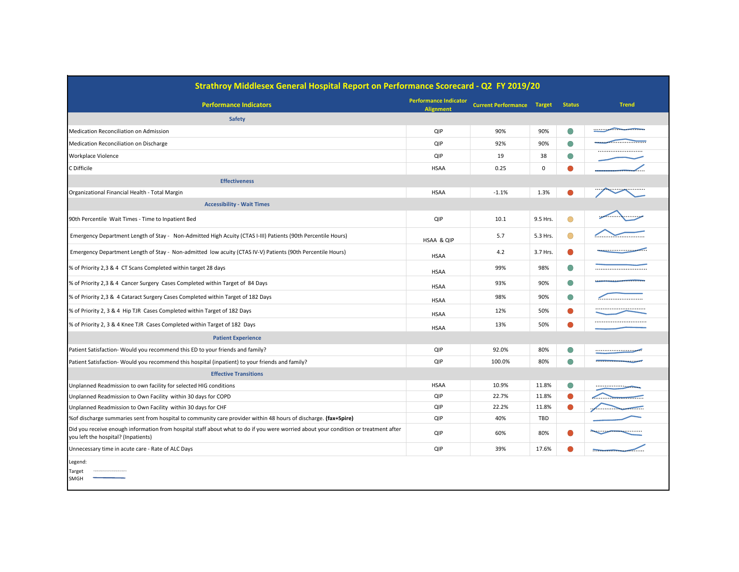| Strathroy Middlesex General Hospital Report on Performance Scorecard - Q2 FY 2019/20                                                                                       |                                                  |                            |               |               |                                           |  |  |  |  |
|----------------------------------------------------------------------------------------------------------------------------------------------------------------------------|--------------------------------------------------|----------------------------|---------------|---------------|-------------------------------------------|--|--|--|--|
| <b>Performance Indicators</b>                                                                                                                                              | <b>Performance Indicator</b><br><b>Alignment</b> | <b>Current Performance</b> | <b>Target</b> | <b>Status</b> | <b>Trend</b>                              |  |  |  |  |
| <b>Safety</b>                                                                                                                                                              |                                                  |                            |               |               |                                           |  |  |  |  |
| Medication Reconciliation on Admission                                                                                                                                     | QIP                                              | 90%                        | 90%           | $\bigcirc$    |                                           |  |  |  |  |
| Medication Reconciliation on Discharge                                                                                                                                     | QIP                                              | 92%                        | 90%           | $\bigcirc$    |                                           |  |  |  |  |
| <b>Workplace Violence</b>                                                                                                                                                  | QIP                                              | 19                         | 38            | $\bigcirc$    |                                           |  |  |  |  |
| C Difficile                                                                                                                                                                | <b>HSAA</b>                                      | 0.25                       | $\mathbf 0$   | $\bullet$     |                                           |  |  |  |  |
| <b>Effectiveness</b>                                                                                                                                                       |                                                  |                            |               |               |                                           |  |  |  |  |
| Organizational Financial Health - Total Margin                                                                                                                             | <b>HSAA</b>                                      | $-1.1%$                    | 1.3%          |               |                                           |  |  |  |  |
| <b>Accessibility - Wait Times</b>                                                                                                                                          |                                                  |                            |               |               |                                           |  |  |  |  |
| 90th Percentile Wait Times - Time to Inpatient Bed                                                                                                                         | QIP                                              | 10.1                       | 9.5 Hrs.      | $\bigcirc$    |                                           |  |  |  |  |
| Emergency Department Length of Stay - Non-Admitted High Acuity (CTAS I-III) Patients (90th Percentile Hours)                                                               | HSAA & QIP                                       | 5.7                        | 5.3 Hrs.      | $\bigcirc$    |                                           |  |  |  |  |
| Emergency Department Length of Stay - Non-admitted low acuity (CTAS IV-V) Patients (90th Percentile Hours)                                                                 | <b>HSAA</b>                                      | 4.2                        | 3.7 Hrs.      | $\bullet$     | --------------------- <del>--------</del> |  |  |  |  |
| % of Priority 2,3 & 4 CT Scans Completed within target 28 days                                                                                                             | <b>HSAA</b>                                      | 99%                        | 98%           | $\bigcirc$    |                                           |  |  |  |  |
| % of Priority 2,3 & 4 Cancer Surgery Cases Completed within Target of 84 Days                                                                                              | <b>HSAA</b>                                      | 93%                        | 90%           | $\bigcirc$    |                                           |  |  |  |  |
| % of Priority 2,3 & 4 Cataract Surgery Cases Completed within Target of 182 Days                                                                                           | <b>HSAA</b>                                      | 98%                        | 90%           | $\bigcirc$    |                                           |  |  |  |  |
| % of Priority 2, 3 & 4 Hip TJR Cases Completed within Target of 182 Days                                                                                                   | <b>HSAA</b>                                      | 12%                        | 50%           | $\bullet$     |                                           |  |  |  |  |
| % of Priority 2, 3 & 4 Knee TJR Cases Completed within Target of 182 Days                                                                                                  | <b>HSAA</b>                                      | 13%                        | 50%           |               |                                           |  |  |  |  |
| <b>Patient Experience</b>                                                                                                                                                  |                                                  |                            |               |               |                                           |  |  |  |  |
| Patient Satisfaction- Would you recommend this ED to your friends and family?                                                                                              | QIP                                              | 92.0%                      | 80%           | $\bigcirc$    |                                           |  |  |  |  |
| Patient Satisfaction- Would you recommend this hospital (inpatient) to your friends and family?                                                                            | QIP                                              | 100.0%                     | 80%           | $\bigcirc$    |                                           |  |  |  |  |
| <b>Effective Transitions</b>                                                                                                                                               |                                                  |                            |               |               |                                           |  |  |  |  |
| Unplanned Readmission to own facility for selected HIG conditions                                                                                                          | <b>HSAA</b>                                      | 10.9%                      | 11.8%         | $\bigcirc$    | <u></u>                                   |  |  |  |  |
| Unplanned Readmission to Own Facility within 30 days for COPD                                                                                                              | QIP                                              | 22.7%                      | 11.8%         | $\bullet$     |                                           |  |  |  |  |
| Unplanned Readmission to Own Facility within 30 days for CHF                                                                                                               | QIP                                              | 22.2%                      | 11.8%         | $\bullet$     | . Januari <del>.</del><br>.               |  |  |  |  |
| % of discharge summaries sent from hospital to community care provider within 48 hours of discharge. (fax+Spire)                                                           | QIP                                              | 40%                        | TBD           |               |                                           |  |  |  |  |
| Did you receive enough information from hospital staff about what to do if you were worried about your condition or treatment after<br>you left the hospital? (Inpatients) | QIP                                              | 60%                        | 80%           | $\bullet$     | <b>The Friday Administration Control</b>  |  |  |  |  |
| Unnecessary time in acute care - Rate of ALC Days                                                                                                                          | QIP                                              | 39%                        | 17.6%         |               | .                                         |  |  |  |  |
| Legend:<br><br>Target<br>SMGH                                                                                                                                              |                                                  |                            |               |               |                                           |  |  |  |  |